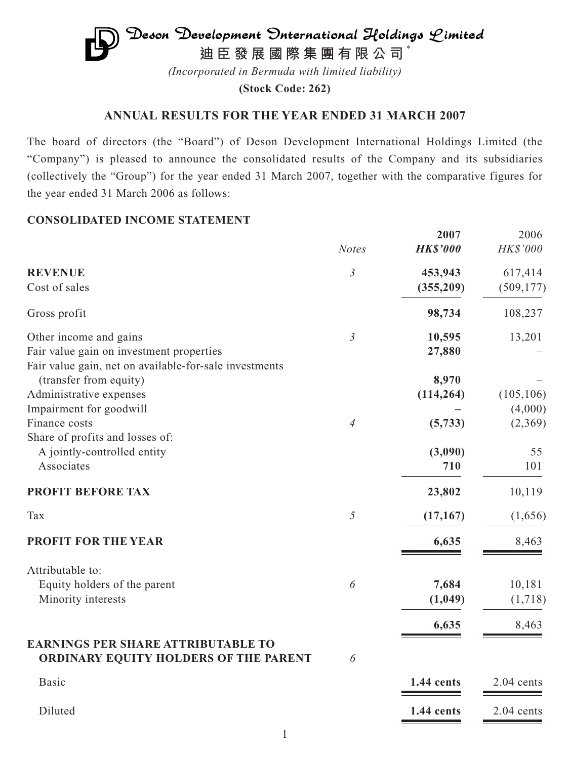# $\mathfrak{D}$ eson Development Onternational Holdings Limited **迪臣發展國際集團有限公司** \*

*(Incorporated in Bermuda with limited liability)*

**(Stock Code: 262)**

# **ANNUAL RESULTS FOR THE YEAR ENDED 31 MARCH 2007**

The board of directors (the "Board") of Deson Development International Holdings Limited (the "Company") is pleased to announce the consolidated results of the Company and its subsidiaries (collectively the "Group") for the year ended 31 March 2007, together with the comparative figures for the year ended 31 March 2006 as follows:

# **CONSOLIDATED INCOME STATEMENT**

|                                                                                    |                       | 2007            | 2006         |
|------------------------------------------------------------------------------------|-----------------------|-----------------|--------------|
|                                                                                    | <b>Notes</b>          | <b>HK\$'000</b> | HK\$'000     |
| <b>REVENUE</b>                                                                     | $\mathfrak{Z}$        | 453,943         | 617,414      |
| Cost of sales                                                                      |                       | (355, 209)      | (509, 177)   |
| Gross profit                                                                       |                       | 98,734          | 108,237      |
| Other income and gains                                                             | $\mathfrak{Z}$        | 10,595          | 13,201       |
| Fair value gain on investment properties                                           |                       | 27,880          |              |
| Fair value gain, net on available-for-sale investments                             |                       |                 |              |
| (transfer from equity)                                                             |                       | 8,970           |              |
| Administrative expenses                                                            |                       | (114, 264)      | (105, 106)   |
| Impairment for goodwill                                                            |                       |                 | (4,000)      |
| Finance costs                                                                      | 4                     | (5,733)         | (2,369)      |
| Share of profits and losses of:                                                    |                       |                 |              |
| A jointly-controlled entity                                                        |                       | (3,090)         | 55           |
| Associates                                                                         |                       | 710             | 101          |
| <b>PROFIT BEFORE TAX</b>                                                           |                       | 23,802          | 10,119       |
| Tax                                                                                | 5                     | (17, 167)       | (1,656)      |
| <b>PROFIT FOR THE YEAR</b>                                                         |                       | 6,635           | 8,463        |
| Attributable to:                                                                   |                       |                 |              |
| Equity holders of the parent                                                       | $\boldsymbol{\delta}$ | 7,684           | 10,181       |
| Minority interests                                                                 |                       | (1,049)         | (1,718)      |
|                                                                                    |                       |                 |              |
|                                                                                    |                       | 6,635           | 8,463        |
| <b>EARNINGS PER SHARE ATTRIBUTABLE TO</b><br>ORDINARY EQUITY HOLDERS OF THE PARENT | 6                     |                 |              |
| <b>Basic</b>                                                                       |                       | 1.44 cents      | $2.04$ cents |
| Diluted                                                                            |                       | 1.44 cents      | 2.04 cents   |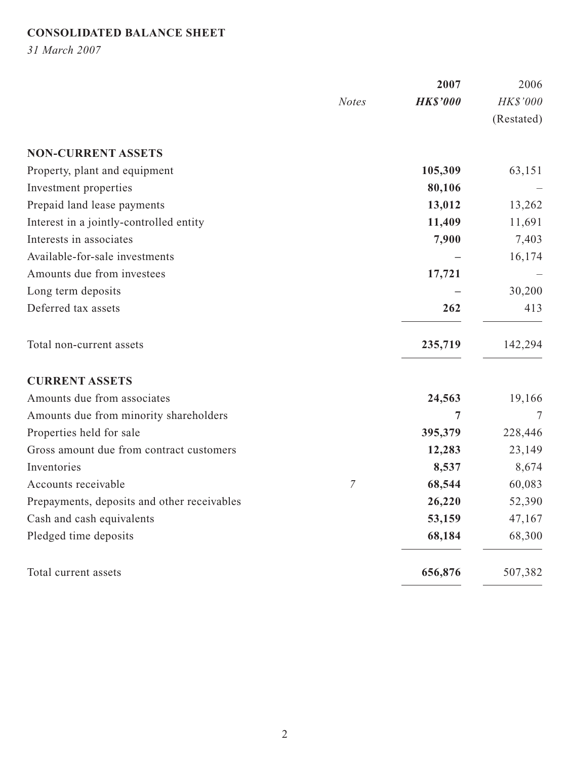# **CONSOLIDATED BALANCE SHEET**

*31 March 2007*

|                                             |              | 2007            | 2006       |
|---------------------------------------------|--------------|-----------------|------------|
|                                             | <b>Notes</b> | <b>HK\$'000</b> | HK\$'000   |
|                                             |              |                 | (Restated) |
| <b>NON-CURRENT ASSETS</b>                   |              |                 |            |
| Property, plant and equipment               |              | 105,309         | 63,151     |
| Investment properties                       |              | 80,106          |            |
| Prepaid land lease payments                 |              | 13,012          | 13,262     |
| Interest in a jointly-controlled entity     |              | 11,409          | 11,691     |
| Interests in associates                     |              | 7,900           | 7,403      |
| Available-for-sale investments              |              |                 | 16,174     |
| Amounts due from investees                  |              | 17,721          |            |
| Long term deposits                          |              |                 | 30,200     |
| Deferred tax assets                         |              | 262             | 413        |
| Total non-current assets                    |              | 235,719         | 142,294    |
| <b>CURRENT ASSETS</b>                       |              |                 |            |
| Amounts due from associates                 |              | 24,563          | 19,166     |
| Amounts due from minority shareholders      |              | 7               | 7          |
| Properties held for sale                    |              | 395,379         | 228,446    |
| Gross amount due from contract customers    |              | 12,283          | 23,149     |
| Inventories                                 |              | 8,537           | 8,674      |
| Accounts receivable                         | 7            | 68,544          | 60,083     |
| Prepayments, deposits and other receivables |              | 26,220          | 52,390     |
| Cash and cash equivalents                   |              | 53,159          | 47,167     |
| Pledged time deposits                       |              | 68,184          | 68,300     |
| Total current assets                        |              | 656,876         | 507,382    |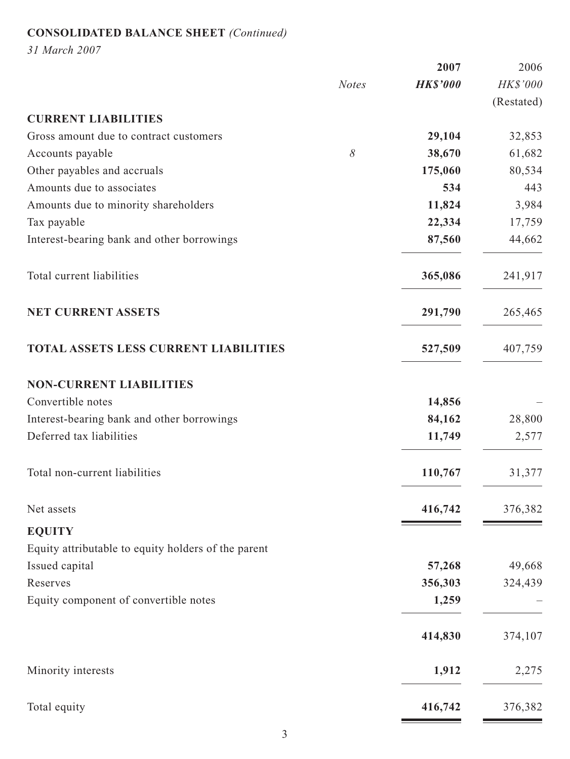# **CONSOLIDATED BALANCE SHEET** *(Continued)*

*31 March 2007*

|                                                     |              | 2007            | 2006       |
|-----------------------------------------------------|--------------|-----------------|------------|
|                                                     | <b>Notes</b> | <b>HK\$'000</b> | HK\$'000   |
|                                                     |              |                 | (Restated) |
| <b>CURRENT LIABILITIES</b>                          |              |                 |            |
| Gross amount due to contract customers              |              | 29,104          | 32,853     |
| Accounts payable                                    | 8            | 38,670          | 61,682     |
| Other payables and accruals                         |              | 175,060         | 80,534     |
| Amounts due to associates                           |              | 534             | 443        |
| Amounts due to minority shareholders                |              | 11,824          | 3,984      |
| Tax payable                                         |              | 22,334          | 17,759     |
| Interest-bearing bank and other borrowings          |              | 87,560          | 44,662     |
| Total current liabilities                           |              | 365,086         | 241,917    |
| <b>NET CURRENT ASSETS</b>                           |              | 291,790         | 265,465    |
| <b>TOTAL ASSETS LESS CURRENT LIABILITIES</b>        |              | 527,509         | 407,759    |
| <b>NON-CURRENT LIABILITIES</b>                      |              |                 |            |
| Convertible notes                                   |              | 14,856          |            |
| Interest-bearing bank and other borrowings          |              | 84,162          | 28,800     |
| Deferred tax liabilities                            |              | 11,749          | 2,577      |
| Total non-current liabilities                       |              | 110,767         | 31,377     |
| Net assets                                          |              | 416,742         | 376,382    |
| <b>EQUITY</b>                                       |              |                 |            |
| Equity attributable to equity holders of the parent |              |                 |            |
| Issued capital                                      |              | 57,268          | 49,668     |
| Reserves                                            |              | 356,303         | 324,439    |
| Equity component of convertible notes               |              | 1,259           |            |
|                                                     |              | 414,830         | 374,107    |
| Minority interests                                  |              | 1,912           | 2,275      |
| Total equity                                        |              | 416,742         | 376,382    |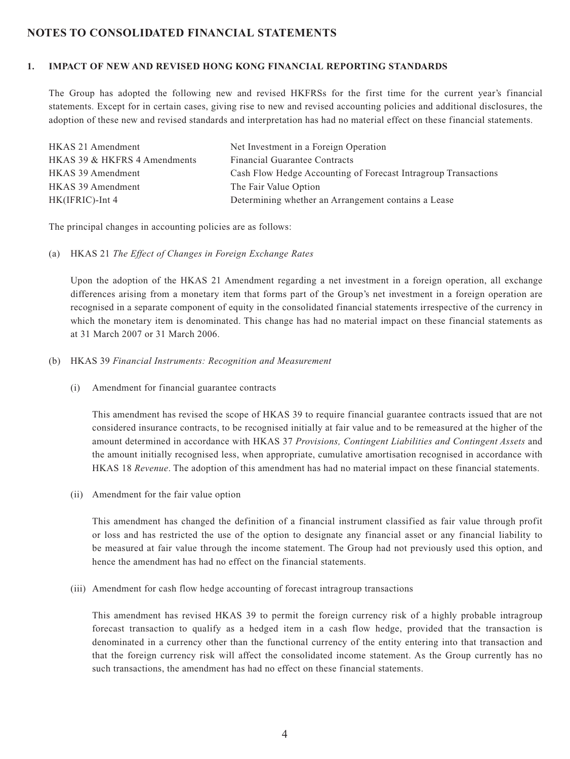# **NOTES TO CONSOLIDATED FINANCIAL STATEMENTS**

#### **1. IMPACT OF NEW AND REVISED HONG KONG FINANCIAL REPORTING STANDARDS**

The Group has adopted the following new and revised HKFRSs for the first time for the current year's financial statements. Except for in certain cases, giving rise to new and revised accounting policies and additional disclosures, the adoption of these new and revised standards and interpretation has had no material effect on these financial statements.

| HKAS 21 Amendment            | Net Investment in a Foreign Operation                          |
|------------------------------|----------------------------------------------------------------|
| HKAS 39 & HKFRS 4 Amendments | <b>Financial Guarantee Contracts</b>                           |
| HKAS 39 Amendment            | Cash Flow Hedge Accounting of Forecast Intragroup Transactions |
| HKAS 39 Amendment            | The Fair Value Option                                          |
| $HK(IFRIC)$ -Int 4           | Determining whether an Arrangement contains a Lease            |

The principal changes in accounting policies are as follows:

(a) HKAS 21 *The Effect of Changes in Foreign Exchange Rates*

Upon the adoption of the HKAS 21 Amendment regarding a net investment in a foreign operation, all exchange differences arising from a monetary item that forms part of the Group's net investment in a foreign operation are recognised in a separate component of equity in the consolidated financial statements irrespective of the currency in which the monetary item is denominated. This change has had no material impact on these financial statements as at 31 March 2007 or 31 March 2006.

- (b) HKAS 39 *Financial Instruments: Recognition and Measurement*
	- (i) Amendment for financial guarantee contracts

This amendment has revised the scope of HKAS 39 to require financial guarantee contracts issued that are not considered insurance contracts, to be recognised initially at fair value and to be remeasured at the higher of the amount determined in accordance with HKAS 37 *Provisions, Contingent Liabilities and Contingent Assets* and the amount initially recognised less, when appropriate, cumulative amortisation recognised in accordance with HKAS 18 *Revenue*. The adoption of this amendment has had no material impact on these financial statements.

(ii) Amendment for the fair value option

This amendment has changed the definition of a financial instrument classified as fair value through profit or loss and has restricted the use of the option to designate any financial asset or any financial liability to be measured at fair value through the income statement. The Group had not previously used this option, and hence the amendment has had no effect on the financial statements.

(iii) Amendment for cash flow hedge accounting of forecast intragroup transactions

This amendment has revised HKAS 39 to permit the foreign currency risk of a highly probable intragroup forecast transaction to qualify as a hedged item in a cash flow hedge, provided that the transaction is denominated in a currency other than the functional currency of the entity entering into that transaction and that the foreign currency risk will affect the consolidated income statement. As the Group currently has no such transactions, the amendment has had no effect on these financial statements.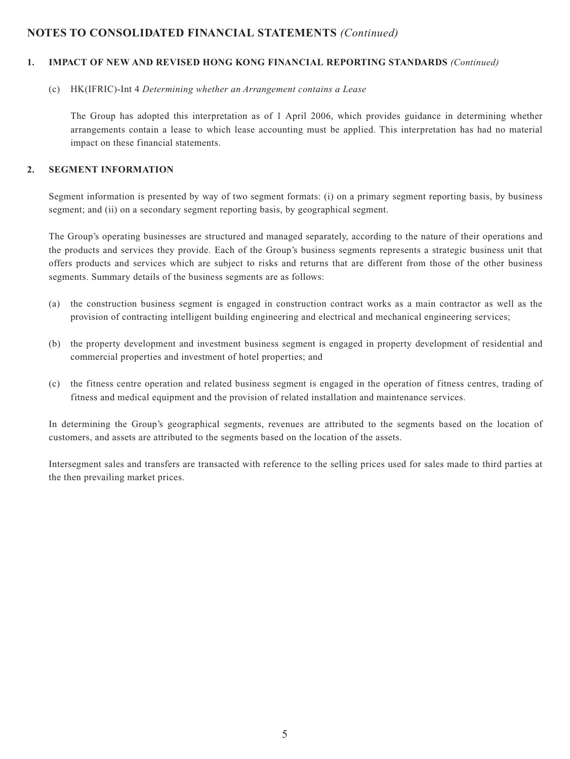#### **1. IMPACT OF NEW AND REVISED HONG KONG FINANCIAL REPORTING STANDARDS** *(Continued)*

#### (c) HK(IFRIC)-Int 4 *Determining whether an Arrangement contains a Lease*

The Group has adopted this interpretation as of 1 April 2006, which provides guidance in determining whether arrangements contain a lease to which lease accounting must be applied. This interpretation has had no material impact on these financial statements.

#### **2. SEGMENT INFORMATION**

Segment information is presented by way of two segment formats: (i) on a primary segment reporting basis, by business segment; and (ii) on a secondary segment reporting basis, by geographical segment.

The Group's operating businesses are structured and managed separately, according to the nature of their operations and the products and services they provide. Each of the Group's business segments represents a strategic business unit that offers products and services which are subject to risks and returns that are different from those of the other business segments. Summary details of the business segments are as follows:

- (a) the construction business segment is engaged in construction contract works as a main contractor as well as the provision of contracting intelligent building engineering and electrical and mechanical engineering services;
- (b) the property development and investment business segment is engaged in property development of residential and commercial properties and investment of hotel properties; and
- (c) the fitness centre operation and related business segment is engaged in the operation of fitness centres, trading of fitness and medical equipment and the provision of related installation and maintenance services.

In determining the Group's geographical segments, revenues are attributed to the segments based on the location of customers, and assets are attributed to the segments based on the location of the assets.

Intersegment sales and transfers are transacted with reference to the selling prices used for sales made to third parties at the then prevailing market prices.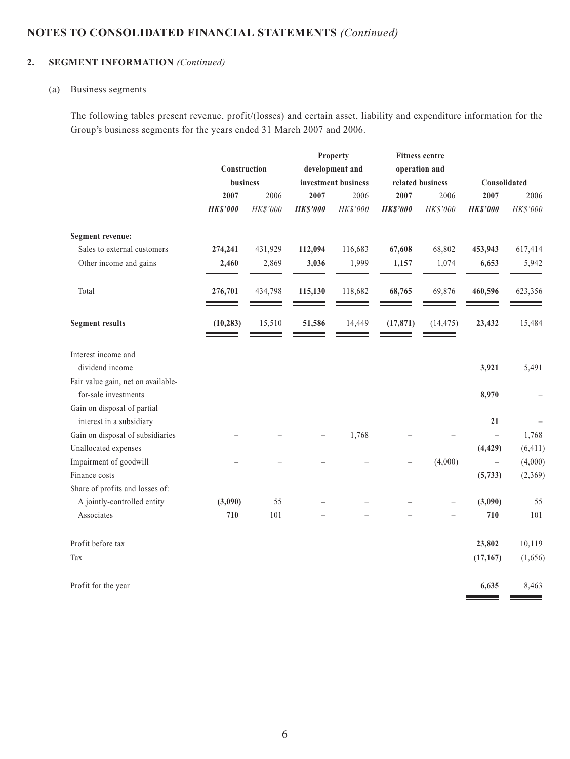# **2. SEGMENT INFORMATION** *(Continued)*

#### (a) Business segments

The following tables present revenue, profit/(losses) and certain asset, liability and expenditure information for the Group's business segments for the years ended 31 March 2007 and 2006.

|                                    |                 |          |                 | Property            |                 | <b>Fitness centre</b> |                          |          |
|------------------------------------|-----------------|----------|-----------------|---------------------|-----------------|-----------------------|--------------------------|----------|
|                                    | Construction    |          |                 | development and     |                 | operation and         |                          |          |
|                                    | business        |          |                 | investment business |                 | related business      | Consolidated             |          |
|                                    | 2007            | 2006     | 2007            | 2006                | 2007            | 2006                  | 2007                     | 2006     |
|                                    | <b>HK\$'000</b> | HK\$'000 | <b>HK\$'000</b> | HK\$'000            | <b>HK\$'000</b> | HK\$'000              | <b>HK\$'000</b>          | HK\$'000 |
| <b>Segment revenue:</b>            |                 |          |                 |                     |                 |                       |                          |          |
| Sales to external customers        | 274,241         | 431,929  | 112,094         | 116,683             | 67,608          | 68,802                | 453,943                  | 617,414  |
| Other income and gains             | 2,460           | 2,869    | 3,036           | 1,999               | 1,157           | 1,074                 | 6,653                    | 5,942    |
| Total                              | 276,701         | 434,798  | 115,130         | 118,682             | 68,765          | 69,876                | 460,596                  | 623,356  |
| <b>Segment results</b>             | (10, 283)       | 15,510   | 51,586          | 14,449              | (17, 871)       | (14, 475)             | 23,432                   | 15,484   |
| Interest income and                |                 |          |                 |                     |                 |                       |                          |          |
| dividend income                    |                 |          |                 |                     |                 |                       | 3,921                    | 5,491    |
| Fair value gain, net on available- |                 |          |                 |                     |                 |                       |                          |          |
| for-sale investments               |                 |          |                 |                     |                 |                       | 8,970                    |          |
| Gain on disposal of partial        |                 |          |                 |                     |                 |                       |                          |          |
| interest in a subsidiary           |                 |          |                 |                     |                 |                       | 21                       |          |
| Gain on disposal of subsidiaries   |                 |          |                 | 1,768               |                 |                       | $\overline{\phantom{0}}$ | 1,768    |
| Unallocated expenses               |                 |          |                 |                     |                 |                       | (4, 429)                 | (6, 411) |
| Impairment of goodwill             |                 |          |                 |                     |                 | (4,000)               | $\overline{\phantom{0}}$ | (4,000)  |
| Finance costs                      |                 |          |                 |                     |                 |                       | (5, 733)                 | (2,369)  |
| Share of profits and losses of:    |                 |          |                 |                     |                 |                       |                          |          |
| A jointly-controlled entity        | (3,090)         | 55       |                 |                     |                 |                       | (3,090)                  | 55       |
| Associates                         | 710             | 101      |                 |                     |                 |                       | 710                      | 101      |
| Profit before tax                  |                 |          |                 |                     |                 |                       | 23,802                   | 10,119   |
| Tax                                |                 |          |                 |                     |                 |                       | (17, 167)                | (1,656)  |
| Profit for the year                |                 |          |                 |                     |                 |                       | 6,635                    | 8,463    |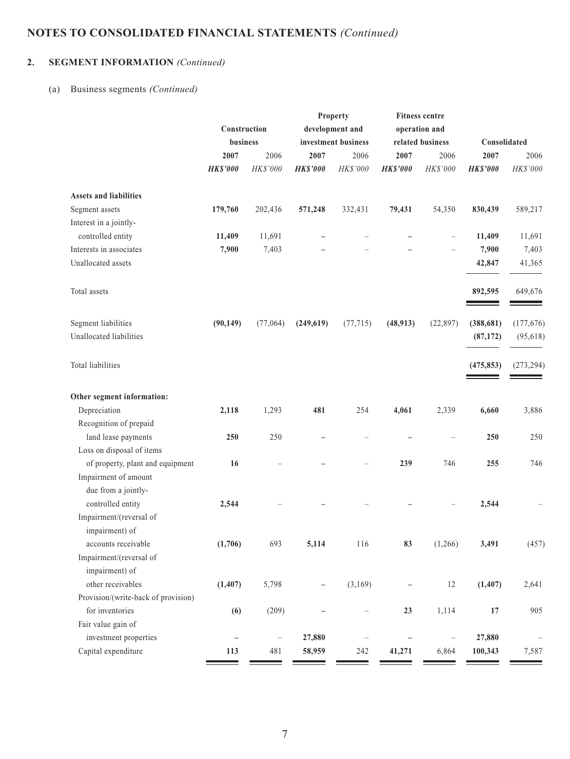# **2. SEGMENT INFORMATION** *(Continued)*

## (a) Business segments *(Continued)*

|                                     |                   |                          |                 | <b>Property</b>     |                   | <b>Fitness centre</b> |                 |                          |
|-------------------------------------|-------------------|--------------------------|-----------------|---------------------|-------------------|-----------------------|-----------------|--------------------------|
|                                     | Construction      |                          |                 | development and     |                   | operation and         |                 |                          |
|                                     | business          |                          |                 | investment business |                   | related business      | Consolidated    |                          |
|                                     | 2007              | 2006                     | 2007            | 2006                | 2007              | 2006                  | 2007            | 2006                     |
|                                     | <b>HK\$'000</b>   | HK\$'000                 | <b>HK\$'000</b> | HK\$'000            | <b>HK\$'000</b>   | HK\$'000              | <b>HK\$'000</b> | HK\$'000                 |
| <b>Assets and liabilities</b>       |                   |                          |                 |                     |                   |                       |                 |                          |
| Segment assets                      | 179,760           | 202,436                  | 571,248         | 332,431             | 79,431            | 54,350                | 830,439         | 589,217                  |
| Interest in a jointly-              |                   |                          |                 |                     |                   |                       |                 |                          |
| controlled entity                   | 11,409            | 11,691                   |                 |                     |                   |                       | 11,409          | 11,691                   |
| Interests in associates             | 7,900             | 7,403                    |                 |                     |                   |                       | 7,900           | 7,403                    |
| Unallocated assets                  |                   |                          |                 |                     |                   |                       | 42,847          | 41,365                   |
| Total assets                        |                   |                          |                 |                     |                   |                       | 892,595         | 649,676                  |
| Segment liabilities                 | (90, 149)         | (77,064)                 | (249, 619)      | (77, 715)           | (48, 913)         | (22, 897)             | (388, 681)      | (177,676)                |
| Unallocated liabilities             |                   |                          |                 |                     |                   |                       | (87, 172)       | (95, 618)                |
| Total liabilities                   |                   |                          |                 |                     |                   |                       | (475, 853)      | (273, 294)               |
| Other segment information:          |                   |                          |                 |                     |                   |                       |                 |                          |
| Depreciation                        | 2,118             | 1,293                    | 481             | 254                 | 4,061             | 2,339                 | 6,660           | 3,886                    |
| Recognition of prepaid              |                   |                          |                 |                     |                   |                       |                 |                          |
| land lease payments                 | 250               | 250                      |                 |                     |                   |                       | 250             | 250                      |
| Loss on disposal of items           |                   |                          |                 |                     |                   |                       |                 |                          |
| of property, plant and equipment    | 16                |                          |                 |                     | 239               | 746                   | 255             | 746                      |
| Impairment of amount                |                   |                          |                 |                     |                   |                       |                 |                          |
| due from a jointly-                 |                   |                          |                 |                     |                   |                       |                 |                          |
| controlled entity                   | 2,544             |                          |                 |                     |                   |                       | 2,544           |                          |
| Impairment/(reversal of             |                   |                          |                 |                     |                   |                       |                 |                          |
| impairment) of                      |                   |                          |                 |                     |                   |                       |                 |                          |
| accounts receivable                 | (1,706)           | 693                      | 5,114           | 116                 | 83                | (1,266)               | 3,491           | (457)                    |
| Impairment/(reversal of             |                   |                          |                 |                     |                   |                       |                 |                          |
| impairment) of                      |                   |                          |                 |                     |                   |                       |                 |                          |
| other receivables                   | (1, 407)          | 5,798                    |                 | (3,169)             |                   | 12                    | (1, 407)        | 2,641                    |
| Provision/(write-back of provision) |                   |                          |                 |                     |                   |                       |                 |                          |
| for inventories                     | (6)               | (209)                    |                 |                     | 23                | 1,114                 | $17\,$          | 905                      |
| Fair value gain of                  |                   |                          |                 |                     |                   |                       |                 |                          |
| investment properties               | $\qquad \qquad -$ | $\overline{\phantom{0}}$ | 27,880          |                     | $\qquad \qquad -$ | $\qquad \qquad -$     | 27,880          | $\overline{\phantom{0}}$ |
| Capital expenditure                 | 113               | 481                      | 58,959          | 242                 | 41,271            | 6,864                 | 100,343         | 7,587                    |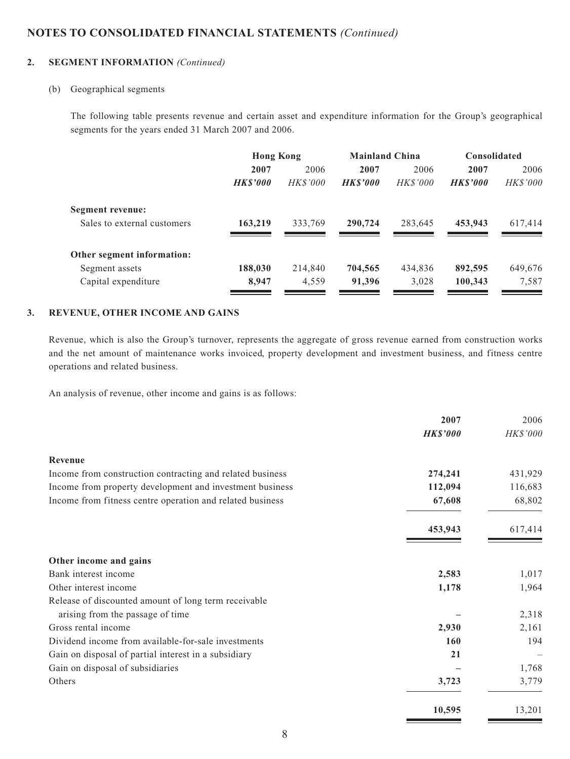#### **2. SEGMENT INFORMATION** *(Continued)*

#### (b) Geographical segments

The following table presents revenue and certain asset and expenditure information for the Group's geographical segments for the years ended 31 March 2007 and 2006.

|                             | <b>Hong Kong</b> |                 |                | <b>Mainland China</b> |                | <b>Consolidated</b> |
|-----------------------------|------------------|-----------------|----------------|-----------------------|----------------|---------------------|
|                             | 2007             | 2006            | 2007           | 2006                  | 2007           | 2006                |
|                             | <b>HKS'000</b>   | <b>HK\$'000</b> | <b>HKS'000</b> | <b>HK\$'000</b>       | <b>HKS'000</b> | <b>HK\$'000</b>     |
| Segment revenue:            |                  |                 |                |                       |                |                     |
| Sales to external customers | 163,219          | 333,769         | 290,724        | 283,645               | 453,943        | 617,414             |
| Other segment information:  |                  |                 |                |                       |                |                     |
| Segment assets              | 188,030          | 214,840         | 704,565        | 434,836               | 892,595        | 649,676             |
| Capital expenditure         | 8,947            | 4,559           | 91,396         | 3,028                 | 100,343        | 7,587               |
|                             |                  |                 |                |                       |                |                     |

#### **3. REVENUE, OTHER INCOME AND GAINS**

Revenue, which is also the Group's turnover, represents the aggregate of gross revenue earned from construction works and the net amount of maintenance works invoiced, property development and investment business, and fitness centre operations and related business.

An analysis of revenue, other income and gains is as follows:

|                                                           | 2007            | 2006     |
|-----------------------------------------------------------|-----------------|----------|
|                                                           | <b>HK\$'000</b> | HK\$'000 |
| Revenue                                                   |                 |          |
| Income from construction contracting and related business | 274,241         | 431,929  |
| Income from property development and investment business  | 112,094         | 116,683  |
| Income from fitness centre operation and related business | 67,608          | 68,802   |
|                                                           | 453,943         | 617,414  |
| Other income and gains                                    |                 |          |
| Bank interest income                                      | 2,583           | 1,017    |
| Other interest income                                     | 1,178           | 1,964    |
| Release of discounted amount of long term receivable      |                 |          |
| arising from the passage of time                          |                 | 2,318    |
| Gross rental income                                       | 2,930           | 2,161    |
| Dividend income from available-for-sale investments       | 160             | 194      |
| Gain on disposal of partial interest in a subsidiary      | 21              |          |
| Gain on disposal of subsidiaries                          |                 | 1,768    |
| Others                                                    | 3,723           | 3,779    |
|                                                           | 10,595          | 13,201   |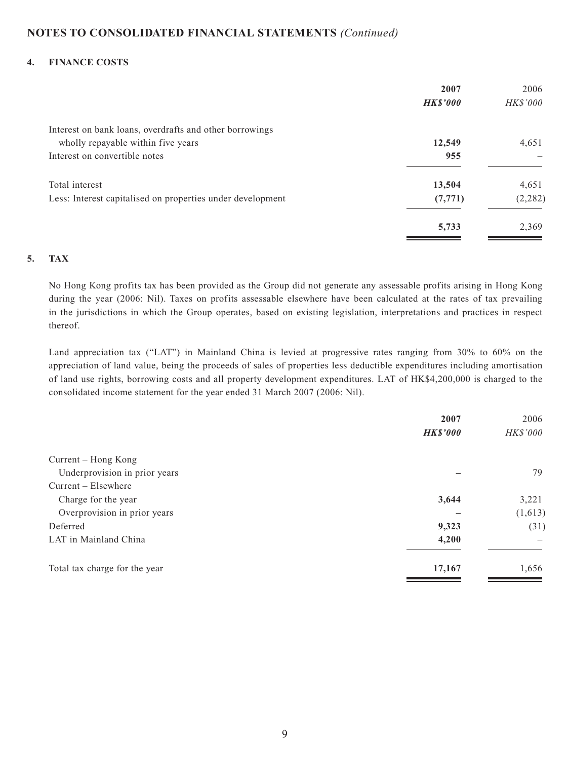#### **4. FINANCE COSTS**

|                                                            | 2007            | 2006     |
|------------------------------------------------------------|-----------------|----------|
|                                                            | <b>HK\$'000</b> | HK\$'000 |
| Interest on bank loans, overdrafts and other borrowings    |                 |          |
| wholly repayable within five years                         | 12,549          | 4,651    |
| Interest on convertible notes                              | 955             |          |
| Total interest                                             | 13,504          | 4,651    |
| Less: Interest capitalised on properties under development | (7, 771)        | (2, 282) |
|                                                            | 5,733           | 2,369    |

#### **5. TAX**

No Hong Kong profits tax has been provided as the Group did not generate any assessable profits arising in Hong Kong during the year (2006: Nil). Taxes on profits assessable elsewhere have been calculated at the rates of tax prevailing in the jurisdictions in which the Group operates, based on existing legislation, interpretations and practices in respect thereof.

Land appreciation tax ("LAT") in Mainland China is levied at progressive rates ranging from 30% to 60% on the appreciation of land value, being the proceeds of sales of properties less deductible expenditures including amortisation of land use rights, borrowing costs and all property development expenditures. LAT of HK\$4,200,000 is charged to the consolidated income statement for the year ended 31 March 2007 (2006: Nil).

|                               | 2007            | 2006     |
|-------------------------------|-----------------|----------|
|                               | <b>HK\$'000</b> | HK\$'000 |
| Current – Hong Kong           |                 |          |
| Underprovision in prior years |                 | 79       |
| $Current - Elsewhere$         |                 |          |
| Charge for the year           | 3,644           | 3,221    |
| Overprovision in prior years  |                 | (1,613)  |
| Deferred                      | 9,323           | (31)     |
| LAT in Mainland China         | 4,200           |          |
| Total tax charge for the year | 17,167          | 1,656    |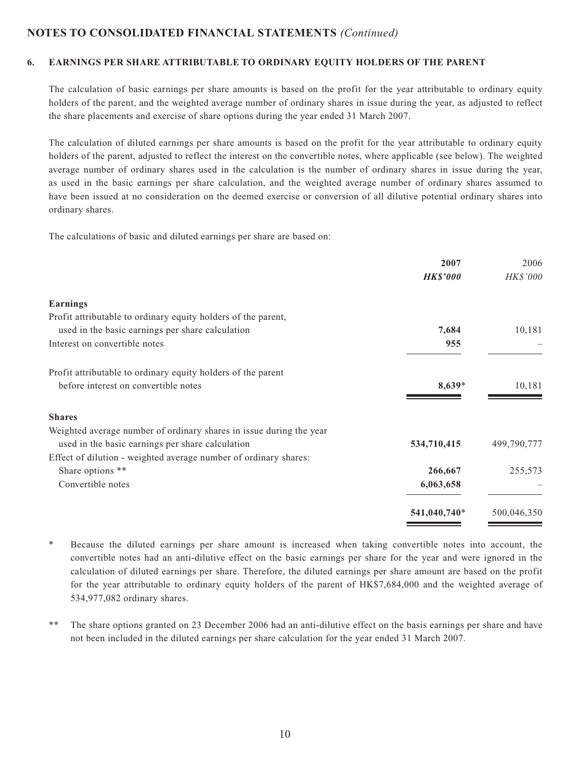#### **6. EARNINGS PER SHARE ATTRIBUTABLE TO ORDINARY EQUITY HOLDERS OF THE PARENT**

The calculation of basic earnings per share amounts is based on the profit for the year attributable to ordinary equity holders of the parent, and the weighted average number of ordinary shares in issue during the year, as adjusted to reflect the share placements and exercise of share options during the year ended 31 March 2007.

The calculation of diluted earnings per share amounts is based on the profit for the year attributable to ordinary equity holders of the parent, adjusted to reflect the interest on the convertible notes, where applicable (see below). The weighted average number of ordinary shares used in the calculation is the number of ordinary shares in issue during the year, as used in the basic earnings per share calculation, and the weighted average number of ordinary shares assumed to have been issued at no consideration on the deemed exercise or conversion of all dilutive potential ordinary shares into ordinary shares.

The calculations of basic and diluted earnings per share are based on:

|                                                                     | 2007            | 2006        |
|---------------------------------------------------------------------|-----------------|-------------|
|                                                                     | <b>HK\$'000</b> | HK\$'000    |
| <b>Earnings</b>                                                     |                 |             |
| Profit attributable to ordinary equity holders of the parent,       |                 |             |
| used in the basic earnings per share calculation                    | 7,684           | 10,181      |
| Interest on convertible notes                                       | 955             |             |
| Profit attributable to ordinary equity holders of the parent        |                 |             |
| before interest on convertible notes                                | 8,639*          | 10,181      |
| <b>Shares</b>                                                       |                 |             |
| Weighted average number of ordinary shares in issue during the year |                 |             |
| used in the basic earnings per share calculation                    | 534,710,415     | 499,790,777 |
| Effect of dilution - weighted average number of ordinary shares:    |                 |             |
| Share options **                                                    | 266,667         | 255,573     |
| Convertible notes                                                   | 6,063,658       |             |
|                                                                     | 541,040,740*    | 500,046,350 |
|                                                                     |                 |             |

\* Because the diluted earnings per share amount is increased when taking convertible notes into account, the convertible notes had an anti-dilutive effect on the basic earnings per share for the year and were ignored in the calculation of diluted earnings per share. Therefore, the diluted earnings per share amount are based on the profit for the year attributable to ordinary equity holders of the parent of HK\$7,684,000 and the weighted average of 534,977,082 ordinary shares.

\*\* The share options granted on 23 December 2006 had an anti-dilutive effect on the basis earnings per share and have not been included in the diluted earnings per share calculation for the year ended 31 March 2007.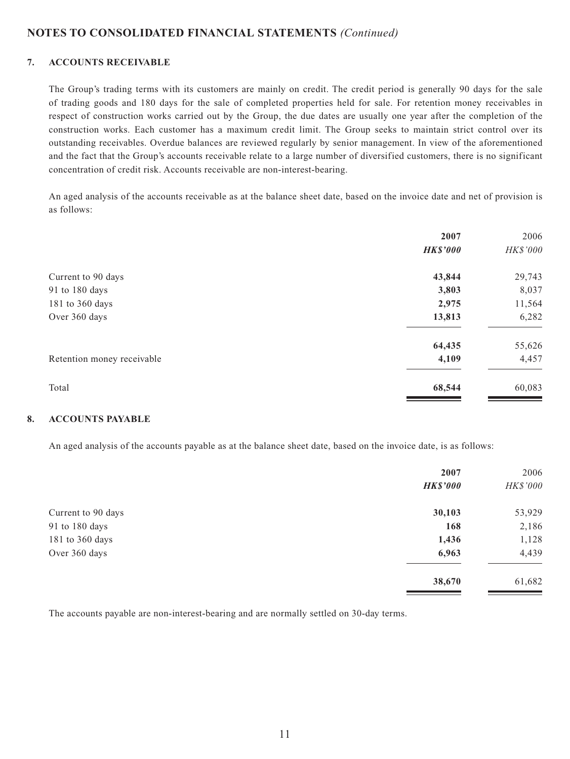#### **7. ACCOUNTS RECEIVABLE**

The Group's trading terms with its customers are mainly on credit. The credit period is generally 90 days for the sale of trading goods and 180 days for the sale of completed properties held for sale. For retention money receivables in respect of construction works carried out by the Group, the due dates are usually one year after the completion of the construction works. Each customer has a maximum credit limit. The Group seeks to maintain strict control over its outstanding receivables. Overdue balances are reviewed regularly by senior management. In view of the aforementioned and the fact that the Group's accounts receivable relate to a large number of diversified customers, there is no significant concentration of credit risk. Accounts receivable are non-interest-bearing.

An aged analysis of the accounts receivable as at the balance sheet date, based on the invoice date and net of provision is as follows:

|                            | 2007            | 2006     |
|----------------------------|-----------------|----------|
|                            | <b>HK\$'000</b> | HK\$'000 |
| Current to 90 days         | 43,844          | 29,743   |
| 91 to 180 days             | 3,803           | 8,037    |
| 181 to 360 days            | 2,975           | 11,564   |
| Over 360 days              | 13,813          | 6,282    |
|                            | 64,435          | 55,626   |
| Retention money receivable | 4,109           | 4,457    |
| Total                      | 68,544          | 60,083   |

#### **8. ACCOUNTS PAYABLE**

An aged analysis of the accounts payable as at the balance sheet date, based on the invoice date, is as follows:

|                    | 2007            | 2006            |
|--------------------|-----------------|-----------------|
|                    | <b>HK\$'000</b> | <b>HK\$'000</b> |
| Current to 90 days | 30,103          | 53,929          |
| 91 to 180 days     | 168             | 2,186           |
| 181 to 360 days    | 1,436           | 1,128           |
| Over 360 days      | 6,963           | 4,439           |
|                    | 38,670          | 61,682          |

The accounts payable are non-interest-bearing and are normally settled on 30-day terms.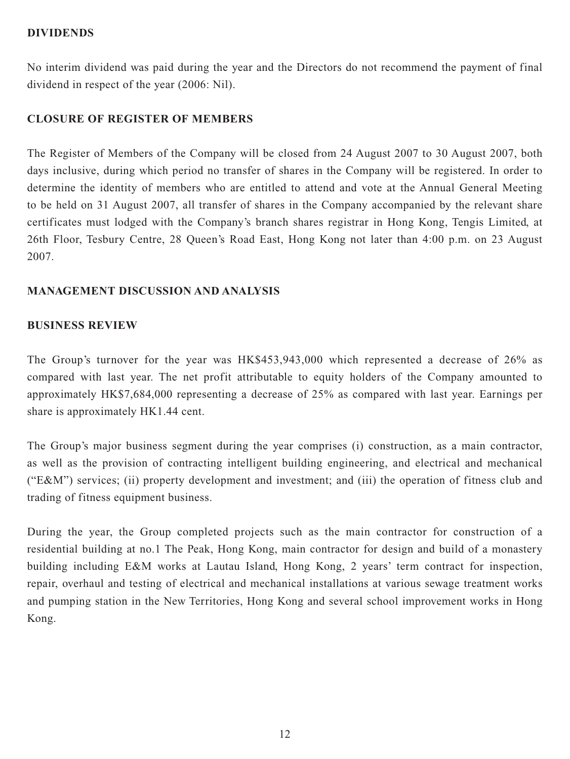### **DIVIDENDS**

No interim dividend was paid during the year and the Directors do not recommend the payment of final dividend in respect of the year (2006: Nil).

# **CLOSURE OF REGISTER OF MEMBERS**

The Register of Members of the Company will be closed from 24 August 2007 to 30 August 2007, both days inclusive, during which period no transfer of shares in the Company will be registered. In order to determine the identity of members who are entitled to attend and vote at the Annual General Meeting to be held on 31 August 2007, all transfer of shares in the Company accompanied by the relevant share certificates must lodged with the Company's branch shares registrar in Hong Kong, Tengis Limited, at 26th Floor, Tesbury Centre, 28 Queen's Road East, Hong Kong not later than 4:00 p.m. on 23 August 2007.

# **MANAGEMENT DISCUSSION AND ANALYSIS**

# **BUSINESS REVIEW**

The Group's turnover for the year was HK\$453,943,000 which represented a decrease of 26% as compared with last year. The net profit attributable to equity holders of the Company amounted to approximately HK\$7,684,000 representing a decrease of 25% as compared with last year. Earnings per share is approximately HK1.44 cent.

The Group's major business segment during the year comprises (i) construction, as a main contractor, as well as the provision of contracting intelligent building engineering, and electrical and mechanical ("E&M") services; (ii) property development and investment; and (iii) the operation of fitness club and trading of fitness equipment business.

During the year, the Group completed projects such as the main contractor for construction of a residential building at no.1 The Peak, Hong Kong, main contractor for design and build of a monastery building including E&M works at Lautau Island, Hong Kong, 2 years' term contract for inspection, repair, overhaul and testing of electrical and mechanical installations at various sewage treatment works and pumping station in the New Territories, Hong Kong and several school improvement works in Hong Kong.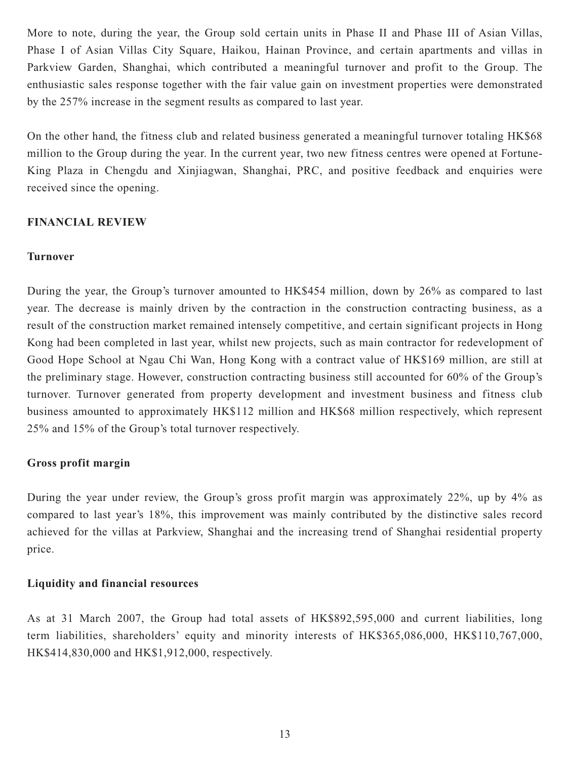More to note, during the year, the Group sold certain units in Phase II and Phase III of Asian Villas, Phase I of Asian Villas City Square, Haikou, Hainan Province, and certain apartments and villas in Parkview Garden, Shanghai, which contributed a meaningful turnover and profit to the Group. The enthusiastic sales response together with the fair value gain on investment properties were demonstrated by the 257% increase in the segment results as compared to last year.

On the other hand, the fitness club and related business generated a meaningful turnover totaling HK\$68 million to the Group during the year. In the current year, two new fitness centres were opened at Fortune-King Plaza in Chengdu and Xinjiagwan, Shanghai, PRC, and positive feedback and enquiries were received since the opening.

# **FINANCIAL REVIEW**

### **Turnover**

During the year, the Group's turnover amounted to HK\$454 million, down by 26% as compared to last year. The decrease is mainly driven by the contraction in the construction contracting business, as a result of the construction market remained intensely competitive, and certain significant projects in Hong Kong had been completed in last year, whilst new projects, such as main contractor for redevelopment of Good Hope School at Ngau Chi Wan, Hong Kong with a contract value of HK\$169 million, are still at the preliminary stage. However, construction contracting business still accounted for 60% of the Group's turnover. Turnover generated from property development and investment business and fitness club business amounted to approximately HK\$112 million and HK\$68 million respectively, which represent 25% and 15% of the Group's total turnover respectively.

# **Gross profit margin**

During the year under review, the Group's gross profit margin was approximately 22%, up by 4% as compared to last year's 18%, this improvement was mainly contributed by the distinctive sales record achieved for the villas at Parkview, Shanghai and the increasing trend of Shanghai residential property price.

### **Liquidity and financial resources**

As at 31 March 2007, the Group had total assets of HK\$892,595,000 and current liabilities, long term liabilities, shareholders' equity and minority interests of HK\$365,086,000, HK\$110,767,000, HK\$414,830,000 and HK\$1,912,000, respectively.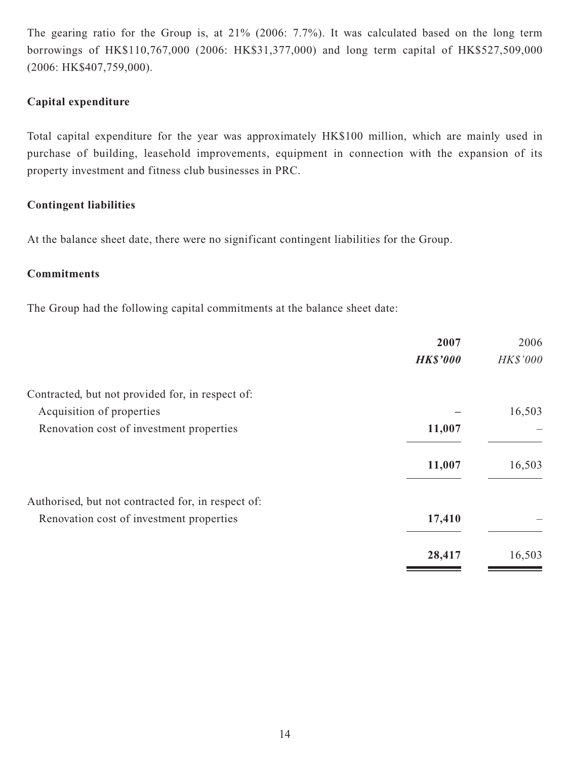The gearing ratio for the Group is, at 21% (2006: 7.7%). It was calculated based on the long term borrowings of HK\$110,767,000 (2006: HK\$31,377,000) and long term capital of HK\$527,509,000 (2006: HK\$407,759,000).

# **Capital expenditure**

Total capital expenditure for the year was approximately HK\$100 million, which are mainly used in purchase of building, leasehold improvements, equipment in connection with the expansion of its property investment and fitness club businesses in PRC.

# **Contingent liabilities**

At the balance sheet date, there were no significant contingent liabilities for the Group.

# **Commitments**

The Group had the following capital commitments at the balance sheet date:

|                                                    | 2007            | 2006     |
|----------------------------------------------------|-----------------|----------|
|                                                    | <b>HK\$'000</b> | HK\$'000 |
| Contracted, but not provided for, in respect of:   |                 |          |
| Acquisition of properties                          |                 | 16,503   |
| Renovation cost of investment properties           | 11,007          |          |
|                                                    | 11,007          | 16,503   |
| Authorised, but not contracted for, in respect of: |                 |          |
| Renovation cost of investment properties           | 17,410          |          |
|                                                    | 28,417          | 16,503   |
|                                                    |                 |          |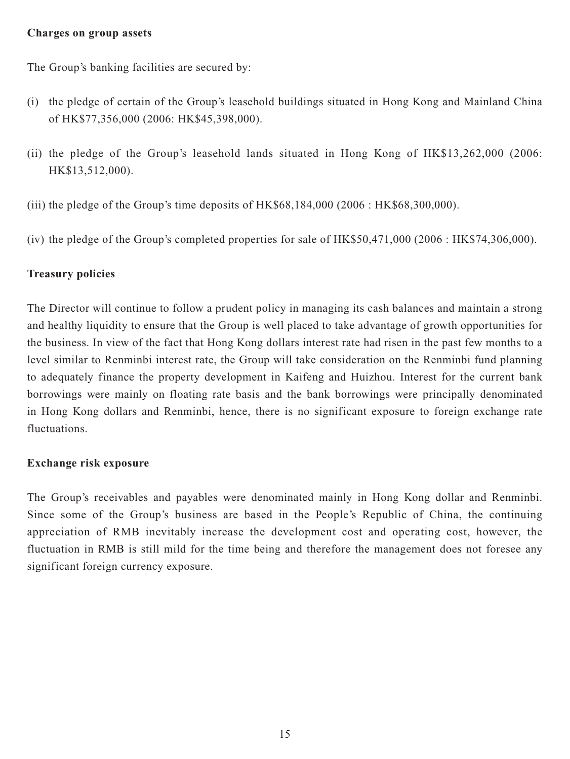### **Charges on group assets**

The Group's banking facilities are secured by:

- (i) the pledge of certain of the Group's leasehold buildings situated in Hong Kong and Mainland China of HK\$77,356,000 (2006: HK\$45,398,000).
- (ii) the pledge of the Group's leasehold lands situated in Hong Kong of HK\$13,262,000 (2006: HK\$13,512,000).
- (iii) the pledge of the Group's time deposits of HK\$68,184,000 (2006 : HK\$68,300,000).
- (iv) the pledge of the Group's completed properties for sale of HK\$50,471,000 (2006 : HK\$74,306,000).

### **Treasury policies**

The Director will continue to follow a prudent policy in managing its cash balances and maintain a strong and healthy liquidity to ensure that the Group is well placed to take advantage of growth opportunities for the business. In view of the fact that Hong Kong dollars interest rate had risen in the past few months to a level similar to Renminbi interest rate, the Group will take consideration on the Renminbi fund planning to adequately finance the property development in Kaifeng and Huizhou. Interest for the current bank borrowings were mainly on floating rate basis and the bank borrowings were principally denominated in Hong Kong dollars and Renminbi, hence, there is no significant exposure to foreign exchange rate fluctuations.

### **Exchange risk exposure**

The Group's receivables and payables were denominated mainly in Hong Kong dollar and Renminbi. Since some of the Group's business are based in the People's Republic of China, the continuing appreciation of RMB inevitably increase the development cost and operating cost, however, the fluctuation in RMB is still mild for the time being and therefore the management does not foresee any significant foreign currency exposure.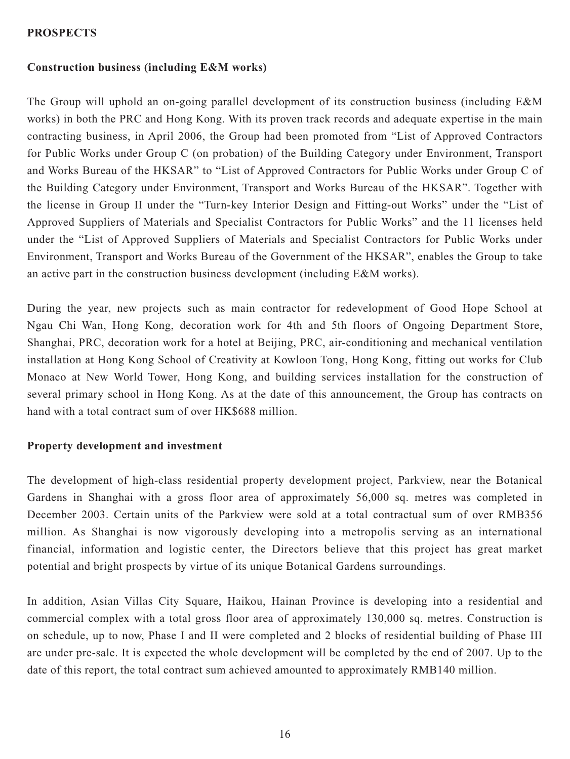## **PROSPECTS**

## **Construction business (including E&M works)**

The Group will uphold an on-going parallel development of its construction business (including E&M works) in both the PRC and Hong Kong. With its proven track records and adequate expertise in the main contracting business, in April 2006, the Group had been promoted from "List of Approved Contractors for Public Works under Group C (on probation) of the Building Category under Environment, Transport and Works Bureau of the HKSAR" to "List of Approved Contractors for Public Works under Group C of the Building Category under Environment, Transport and Works Bureau of the HKSAR". Together with the license in Group II under the "Turn-key Interior Design and Fitting-out Works" under the "List of Approved Suppliers of Materials and Specialist Contractors for Public Works" and the 11 licenses held under the "List of Approved Suppliers of Materials and Specialist Contractors for Public Works under Environment, Transport and Works Bureau of the Government of the HKSAR", enables the Group to take an active part in the construction business development (including E&M works).

During the year, new projects such as main contractor for redevelopment of Good Hope School at Ngau Chi Wan, Hong Kong, decoration work for 4th and 5th floors of Ongoing Department Store, Shanghai, PRC, decoration work for a hotel at Beijing, PRC, air-conditioning and mechanical ventilation installation at Hong Kong School of Creativity at Kowloon Tong, Hong Kong, fitting out works for Club Monaco at New World Tower, Hong Kong, and building services installation for the construction of several primary school in Hong Kong. As at the date of this announcement, the Group has contracts on hand with a total contract sum of over HK\$688 million.

### **Property development and investment**

The development of high-class residential property development project, Parkview, near the Botanical Gardens in Shanghai with a gross floor area of approximately 56,000 sq. metres was completed in December 2003. Certain units of the Parkview were sold at a total contractual sum of over RMB356 million. As Shanghai is now vigorously developing into a metropolis serving as an international financial, information and logistic center, the Directors believe that this project has great market potential and bright prospects by virtue of its unique Botanical Gardens surroundings.

In addition, Asian Villas City Square, Haikou, Hainan Province is developing into a residential and commercial complex with a total gross floor area of approximately 130,000 sq. metres. Construction is on schedule, up to now, Phase I and II were completed and 2 blocks of residential building of Phase III are under pre-sale. It is expected the whole development will be completed by the end of 2007. Up to the date of this report, the total contract sum achieved amounted to approximately RMB140 million.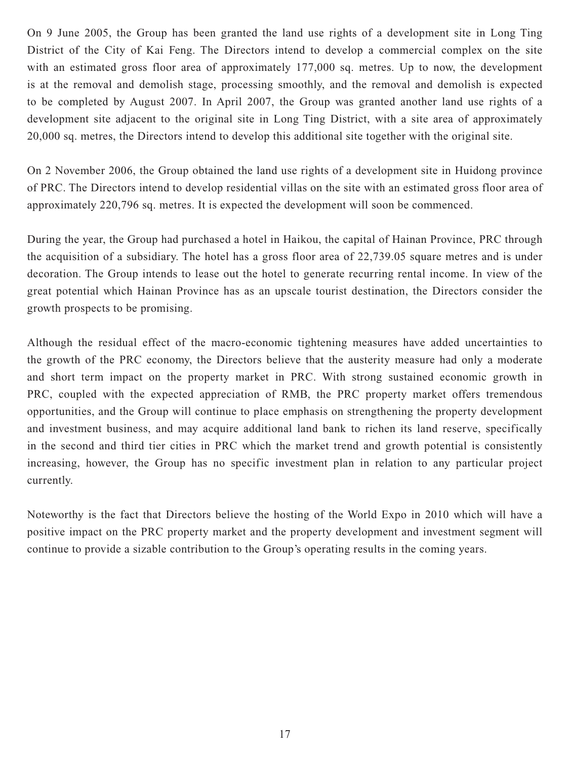On 9 June 2005, the Group has been granted the land use rights of a development site in Long Ting District of the City of Kai Feng. The Directors intend to develop a commercial complex on the site with an estimated gross floor area of approximately 177,000 sq. metres. Up to now, the development is at the removal and demolish stage, processing smoothly, and the removal and demolish is expected to be completed by August 2007. In April 2007, the Group was granted another land use rights of a development site adjacent to the original site in Long Ting District, with a site area of approximately 20,000 sq. metres, the Directors intend to develop this additional site together with the original site.

On 2 November 2006, the Group obtained the land use rights of a development site in Huidong province of PRC. The Directors intend to develop residential villas on the site with an estimated gross floor area of approximately 220,796 sq. metres. It is expected the development will soon be commenced.

During the year, the Group had purchased a hotel in Haikou, the capital of Hainan Province, PRC through the acquisition of a subsidiary. The hotel has a gross floor area of 22,739.05 square metres and is under decoration. The Group intends to lease out the hotel to generate recurring rental income. In view of the great potential which Hainan Province has as an upscale tourist destination, the Directors consider the growth prospects to be promising.

Although the residual effect of the macro-economic tightening measures have added uncertainties to the growth of the PRC economy, the Directors believe that the austerity measure had only a moderate and short term impact on the property market in PRC. With strong sustained economic growth in PRC, coupled with the expected appreciation of RMB, the PRC property market offers tremendous opportunities, and the Group will continue to place emphasis on strengthening the property development and investment business, and may acquire additional land bank to richen its land reserve, specifically in the second and third tier cities in PRC which the market trend and growth potential is consistently increasing, however, the Group has no specific investment plan in relation to any particular project currently.

Noteworthy is the fact that Directors believe the hosting of the World Expo in 2010 which will have a positive impact on the PRC property market and the property development and investment segment will continue to provide a sizable contribution to the Group's operating results in the coming years.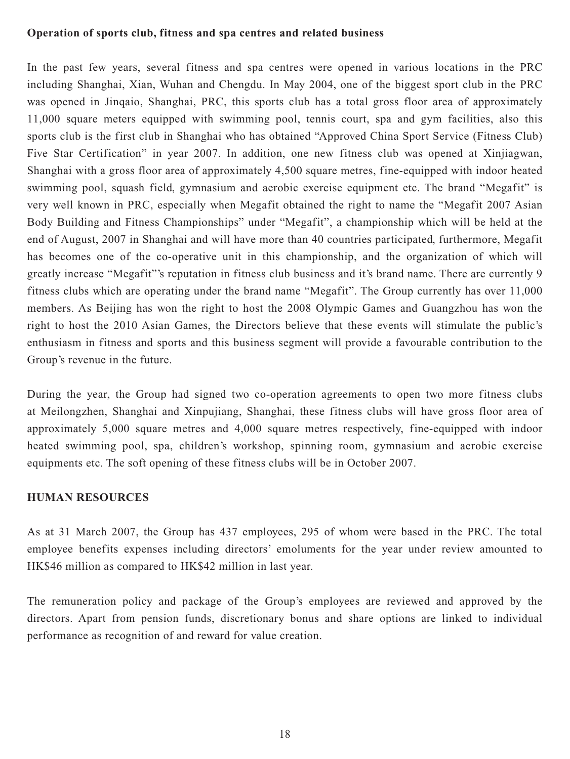#### **Operation of sports club, fitness and spa centres and related business**

In the past few years, several fitness and spa centres were opened in various locations in the PRC including Shanghai, Xian, Wuhan and Chengdu. In May 2004, one of the biggest sport club in the PRC was opened in Jinqaio, Shanghai, PRC, this sports club has a total gross floor area of approximately 11,000 square meters equipped with swimming pool, tennis court, spa and gym facilities, also this sports club is the first club in Shanghai who has obtained "Approved China Sport Service (Fitness Club) Five Star Certification" in year 2007. In addition, one new fitness club was opened at Xinjiagwan, Shanghai with a gross floor area of approximately 4,500 square metres, fine-equipped with indoor heated swimming pool, squash field, gymnasium and aerobic exercise equipment etc. The brand "Megafit" is very well known in PRC, especially when Megafit obtained the right to name the "Megafit 2007 Asian Body Building and Fitness Championships" under "Megafit", a championship which will be held at the end of August, 2007 in Shanghai and will have more than 40 countries participated, furthermore, Megafit has becomes one of the co-operative unit in this championship, and the organization of which will greatly increase "Megafit"'s reputation in fitness club business and it's brand name. There are currently 9 fitness clubs which are operating under the brand name "Megafit". The Group currently has over 11,000 members. As Beijing has won the right to host the 2008 Olympic Games and Guangzhou has won the right to host the 2010 Asian Games, the Directors believe that these events will stimulate the public's enthusiasm in fitness and sports and this business segment will provide a favourable contribution to the Group's revenue in the future.

During the year, the Group had signed two co-operation agreements to open two more fitness clubs at Meilongzhen, Shanghai and Xinpujiang, Shanghai, these fitness clubs will have gross floor area of approximately 5,000 square metres and 4,000 square metres respectively, fine-equipped with indoor heated swimming pool, spa, children's workshop, spinning room, gymnasium and aerobic exercise equipments etc. The soft opening of these fitness clubs will be in October 2007.

### **HUMAN RESOURCES**

As at 31 March 2007, the Group has 437 employees, 295 of whom were based in the PRC. The total employee benefits expenses including directors' emoluments for the year under review amounted to HK\$46 million as compared to HK\$42 million in last year.

The remuneration policy and package of the Group's employees are reviewed and approved by the directors. Apart from pension funds, discretionary bonus and share options are linked to individual performance as recognition of and reward for value creation.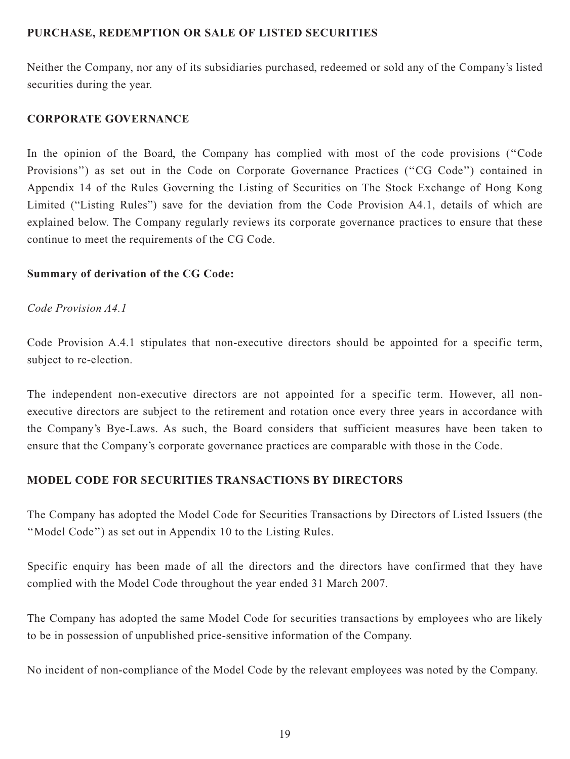# **PURCHASE, REDEMPTION OR SALE OF LISTED SECURITIES**

Neither the Company, nor any of its subsidiaries purchased, redeemed or sold any of the Company's listed securities during the year.

### **CORPORATE GOVERNANCE**

In the opinion of the Board, the Company has complied with most of the code provisions ("Code Provisions'') as set out in the Code on Corporate Governance Practices (''CG Code'') contained in Appendix 14 of the Rules Governing the Listing of Securities on The Stock Exchange of Hong Kong Limited ("Listing Rules") save for the deviation from the Code Provision A4.1, details of which are explained below. The Company regularly reviews its corporate governance practices to ensure that these continue to meet the requirements of the CG Code.

# **Summary of derivation of the CG Code:**

### *Code Provision A4.1*

Code Provision A.4.1 stipulates that non-executive directors should be appointed for a specific term, subject to re-election.

The independent non-executive directors are not appointed for a specific term. However, all nonexecutive directors are subject to the retirement and rotation once every three years in accordance with the Company's Bye-Laws. As such, the Board considers that sufficient measures have been taken to ensure that the Company's corporate governance practices are comparable with those in the Code.

# **MODEL CODE FOR SECURITIES TRANSACTIONS BY DIRECTORS**

The Company has adopted the Model Code for Securities Transactions by Directors of Listed Issuers (the ''Model Code'') as set out in Appendix 10 to the Listing Rules.

Specific enquiry has been made of all the directors and the directors have confirmed that they have complied with the Model Code throughout the year ended 31 March 2007.

The Company has adopted the same Model Code for securities transactions by employees who are likely to be in possession of unpublished price-sensitive information of the Company.

No incident of non-compliance of the Model Code by the relevant employees was noted by the Company.